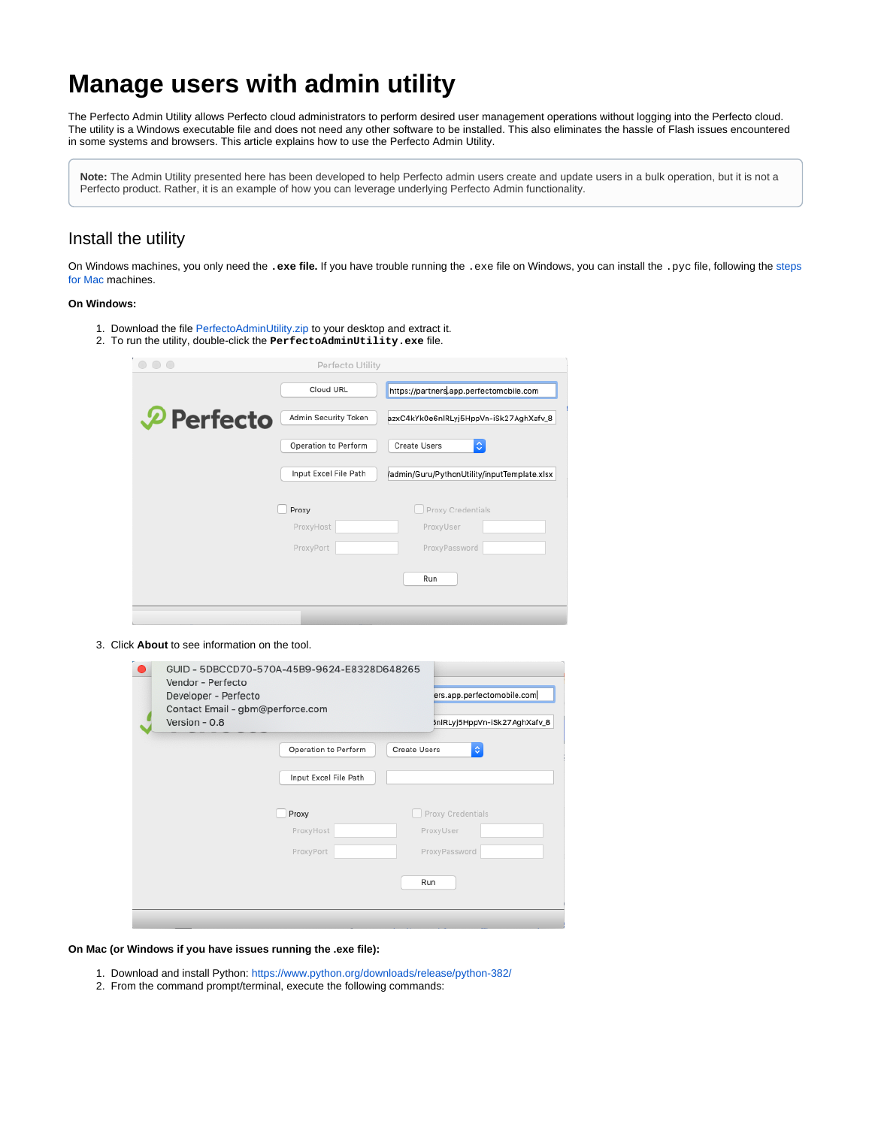# **Manage users with admin utility**

The Perfecto Admin Utility allows Perfecto cloud administrators to perform desired user management operations without logging into the Perfecto cloud. The utility is a Windows executable file and does not need any other software to be installed. This also eliminates the hassle of Flash issues encountered in some systems and browsers. This article explains how to use the Perfecto Admin Utility.

**Note:** The Admin Utility presented here has been developed to help Perfecto admin users create and update users in a bulk operation, but it is not a Perfecto product. Rather, it is an example of how you can leverage underlying Perfecto Admin functionality.

# Install the utility

On Windows machines, you only need the **.exe file.** If you have trouble running the .exe file on Windows, you can install the .pyc file, following the [steps](#page-0-0) [for Mac](#page-0-0) machines.

#### **On Windows:**

- 1. Download the file [PerfectoAdminUtility.zip](https://developers.perfectomobile.com/download/attachments/61785277/PerfectoAdminUtility.zip?version=2&modificationDate=1631209843210&api=v2) to your desktop and extract it.
- 2. To run the utility, double-click the **PerfectoAdminUtility.exe** file.

| $\cap$ $\cap$         | Perfecto Utility      |                                              |
|-----------------------|-----------------------|----------------------------------------------|
|                       | Cloud URL             | https://partners.app.perfectomobile.com      |
| $\mathcal P$ Perfecto | Admin Security Token  | azxC4kYk0e6nlRLyj5HppVn-iSk27AghXafv_8       |
|                       | Operation to Perform  | $\Diamond$<br>Create Users                   |
|                       | Input Excel File Path | /admin/Guru/PythonUtility/inputTemplate.xlsx |
|                       | Proxy                 | Proxy Credentials                            |
|                       | ProxyHost             | ProxyUser                                    |
|                       | ProxyPort             | ProxyPassword                                |
|                       |                       | Run                                          |
|                       |                       |                                              |

#### 3. Click **About** to see information on the tool.

| Vendor - Perfecto<br>Developer - Perfecto<br>Version - 0.8 | GUID - 5DBCCD70-570A-45B9-9624-E8328D648265<br>Contact Email - gbm@perforce.com | ers.app.perfectomobile.com<br>3nlRLyj5HppVn-iSk27AghXafv_8 |
|------------------------------------------------------------|---------------------------------------------------------------------------------|------------------------------------------------------------|
|                                                            | Operation to Perform<br>Input Excel File Path                                   | $\hat{\mathbf{c}}$<br><b>Create Users</b>                  |
|                                                            | Proxy<br>ProxyHost                                                              | Proxy Credentials<br>ProxyUser                             |
|                                                            | ProxyPort                                                                       | ProxyPassword                                              |
|                                                            |                                                                                 | Run                                                        |

<span id="page-0-0"></span>**On Mac (or Windows if you have issues running the .exe file):**

- 1. Download and install Python: <https://www.python.org/downloads/release/python-382/>
- 2. From the command prompt/terminal, execute the following commands: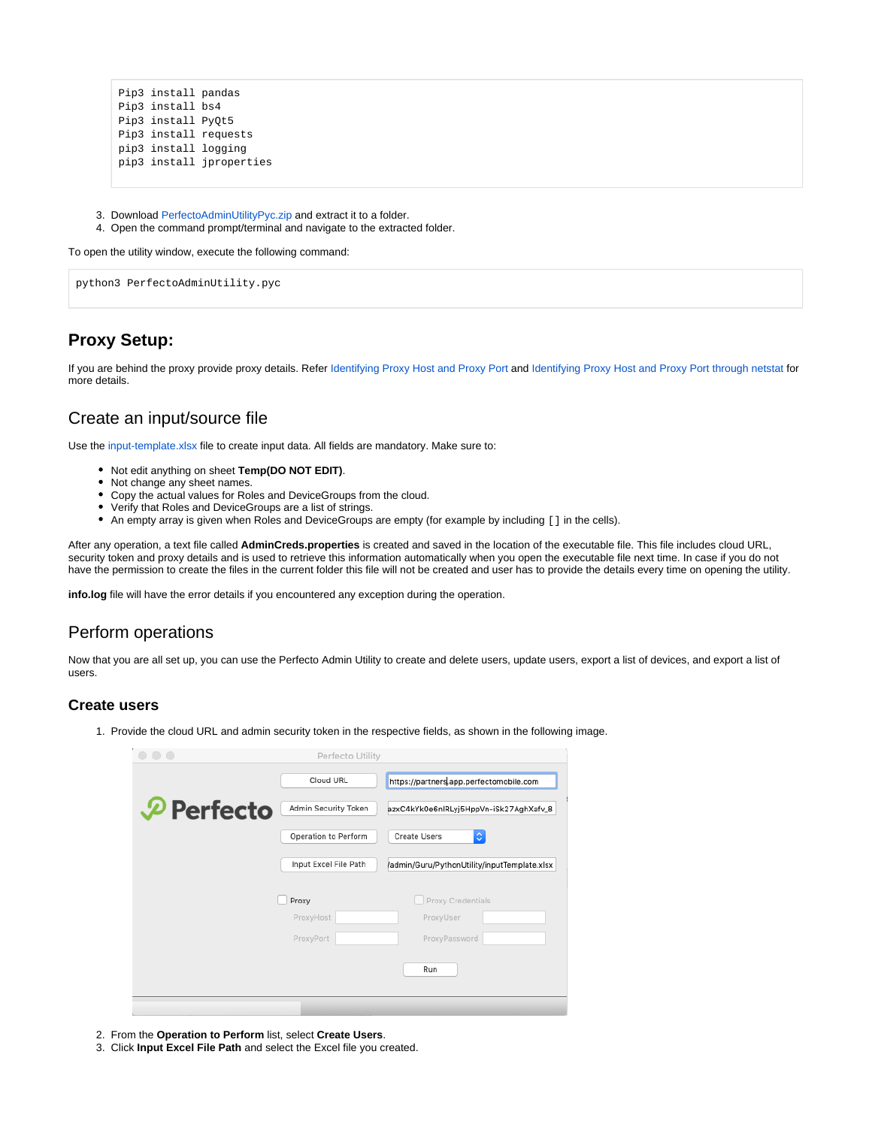```
Pip3 install pandas
Pip3 install bs4
Pip3 install PyQt5
Pip3 install requests
pip3 install logging
pip3 install jproperties
```
- 3. Download [PerfectoAdminUtilityPyc.zip](https://developers.perfectomobile.com/download/attachments/61785277/PerfectoAdminUtilityPyc.zip?version=3&modificationDate=1631210496871&api=v2) and extract it to a folder.
- 4. Open the command prompt/terminal and navigate to the extracted folder.

To open the utility window, execute the following command:

python3 PerfectoAdminUtility.pyc

# **Proxy Setup:**

If you are behind the proxy provide proxy details. Refer [Identifying Proxy Host and Proxy Port](https://developers.perfectomobile.com/display/TT/Identifying+Proxy+Host+and+Proxy+Port) and [Identifying Proxy Host and Proxy Port through netstat](https://developers.perfectomobile.com/display/TT/Identify+proxy+host+and+proxy+port+through+netstat) for more details.

## Create an input/source file

Use the [input-template.xlsx](https://developers.perfectomobile.com/download/attachments/61785277/input-template.xlsx?version=1&modificationDate=1622724240763&api=v2) file to create input data. All fields are mandatory. Make sure to:

- Not edit anything on sheet **Temp(DO NOT EDIT)**.
- Not change any sheet names.
- Copy the actual values for Roles and DeviceGroups from the cloud.
- Verify that Roles and DeviceGroups are a list of strings.
- An empty array is given when Roles and DeviceGroups are empty (for example by including [] in the cells).

After any operation, a text file called **AdminCreds.properties** is created and saved in the location of the executable file. This file includes cloud URL, security token and proxy details and is used to retrieve this information automatically when you open the executable file next time. In case if you do not have the permission to create the files in the current folder this file will not be created and user has to provide the details every time on opening the utility.

**info.log** file will have the error details if you encountered any exception during the operation.

# Perform operations

Now that you are all set up, you can use the Perfecto Admin Utility to create and delete users, update users, export a list of devices, and export a list of users.

#### **Create users**

1. Provide the cloud URL and admin security token in the respective fields, as shown in the following image.

| $\bigcap$              | Perfecto Utility      |                                              |
|------------------------|-----------------------|----------------------------------------------|
|                        | Cloud URL             | https://partners.app.perfectomobile.com      |
| $\mathcal{P}$ Perfecto | Admin Security Token  | azxC4kYk0e6nlRLyj5HppVn-iSk27AghXafv_8       |
|                        | Operation to Perform  | $\Diamond$<br><b>Create Users</b>            |
|                        | Input Excel File Path | /admin/Guru/PythonUtility/inputTemplate.xlsx |
|                        | Proxy                 | Proxy Credentials                            |
|                        | ProxyHost             | ProxyUser                                    |
|                        | ProxyPort             | ProxyPassword                                |
|                        |                       | Run                                          |
|                        |                       |                                              |

- 2. From the **Operation to Perform** list, select **Create Users**.
- 3. Click **Input Excel File Path** and select the Excel file you created.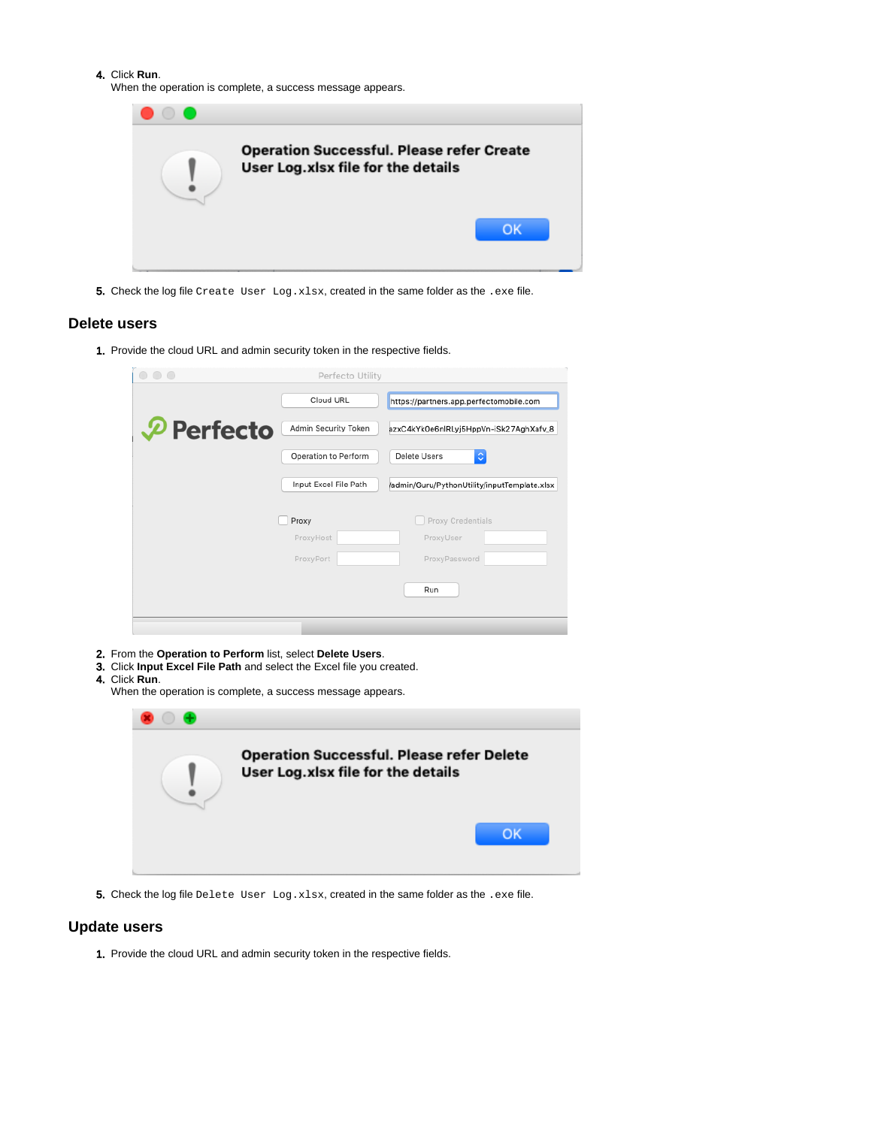4. Click **Run**.

When the operation is complete, a success message appears.

| $\bullet$ |                                                                                        |
|-----------|----------------------------------------------------------------------------------------|
|           | <b>Operation Successful. Please refer Create</b><br>User Log.xlsx file for the details |
|           | OK                                                                                     |

**5.** Check the log file Create User Log.xlsx, created in the same folder as the .exe file.

#### **Delete users**

1. Provide the cloud URL and admin security token in the respective fields.

|                       | Perfecto Utility      |                                              |
|-----------------------|-----------------------|----------------------------------------------|
|                       | Cloud URL             | https://partners.app.perfectomobile.com      |
| $\mathcal P$ Perfecto | Admin Security Token  | azxC4kYk0e6nlRLyj5HppVn-iSk27AghXafv_8       |
|                       | Operation to Perform  | ¢<br>Delete Users                            |
|                       | Input Excel File Path | /admin/Guru/PythonUtility/inputTemplate.xlsx |
|                       | Proxy                 | Proxy Credentials                            |
|                       | ProxyHost             | ProxyUser                                    |
|                       | ProxyPort             | ProxyPassword                                |
|                       |                       | Run                                          |
|                       |                       |                                              |
|                       |                       |                                              |

- 2. From the **Operation to Perform** list, select **Delete Users**.
- 3. Click **Input Excel File Path** and select the Excel file you created.
- 4. Click **Run**.

| <b>UIIUN INUITI.</b><br>When the operation is complete, a success message appears. |                                                                                        |  |  |
|------------------------------------------------------------------------------------|----------------------------------------------------------------------------------------|--|--|
|                                                                                    |                                                                                        |  |  |
|                                                                                    | <b>Operation Successful. Please refer Delete</b><br>User Log.xlsx file for the details |  |  |
|                                                                                    | OK                                                                                     |  |  |

**5.** Check the log file Delete User Log.xlsx, created in the same folder as the .exe file.

#### **Update users**

1. Provide the cloud URL and admin security token in the respective fields.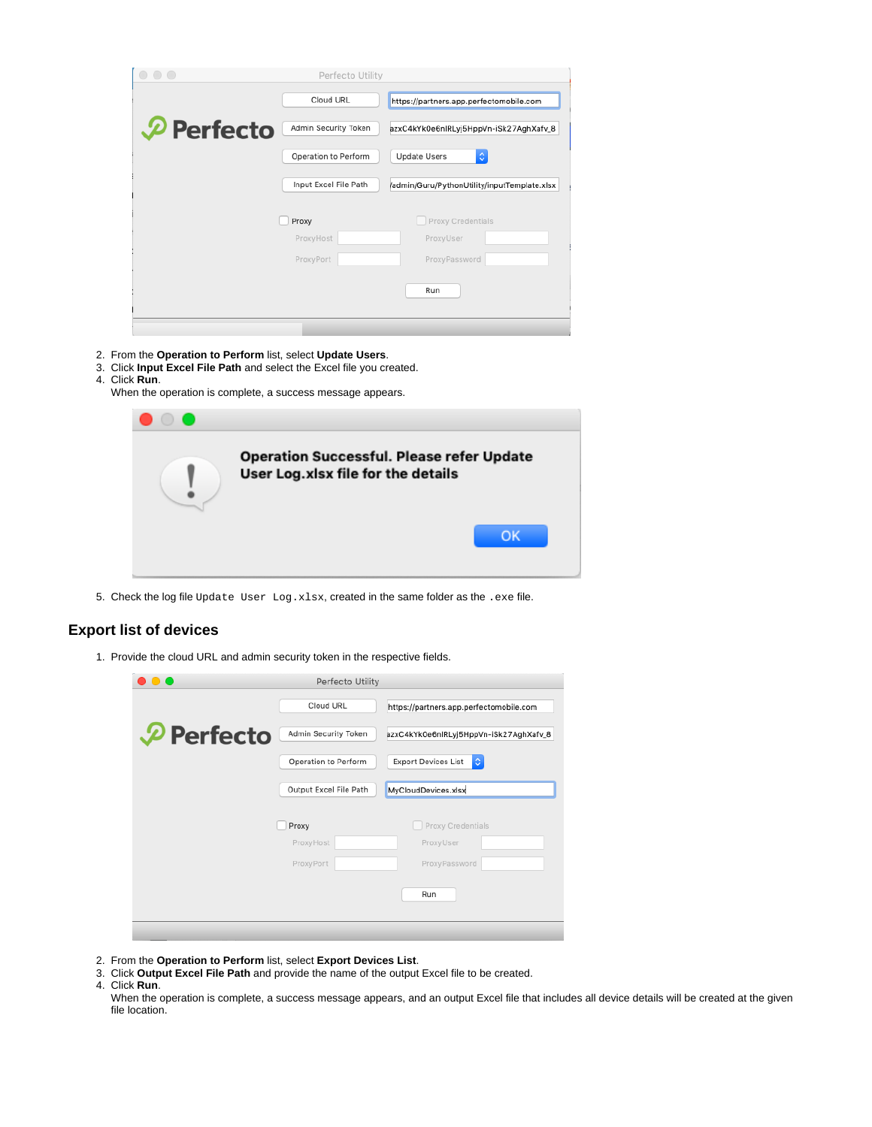| $\bigcap$             | Perfecto Utility      |                                              |
|-----------------------|-----------------------|----------------------------------------------|
|                       | Cloud URL             | https://partners.app.perfectomobile.com      |
| $\mathcal P$ Perfecto | Admin Security Token  | azxC4kYk0e6nlRLyj5HppVn-iSk27AghXafv_8       |
|                       | Operation to Perform  | ≎<br><b>Update Users</b>                     |
|                       | Input Excel File Path | /admin/Guru/PythonUtility/inputTemplate.xlsx |
|                       | Proxy                 | Proxy Credentials                            |
|                       | ProxyHost             | ProxyUser                                    |
|                       | ProxyPort             | ProxyPassword                                |
|                       |                       | Run                                          |
|                       |                       |                                              |

- 2. From the **Operation to Perform** list, select **Update Users**.
- 3. Click **Input Excel File Path** and select the Excel file you created.
- 4. Click **Run**.
	- When the operation is complete, a success message appears.

| <b>Operation Successful. Please refer Update</b><br>User Log.xlsx file for the details |
|----------------------------------------------------------------------------------------|
| OK                                                                                     |

5. Check the log file  $\mathtt{Update}$   $\mathtt{User}\ \mathtt{Log}.\mathtt{xlsx},$  created in the same folder as the  $.\mathtt{exe}$  file.

## **Export list of devices**

1. Provide the cloud URL and admin security token in the respective fields.

|                       | Perfecto Utility       |                                                  |
|-----------------------|------------------------|--------------------------------------------------|
|                       | Cloud URL              | https://partners.app.perfectomobile.com          |
| $\mathcal P$ Perfecto | Admin Security Token   | azxC4kYk0e6nlRLyj5HppVn-iSk27AghXafv_8           |
|                       | Operation to Perform   | <b>Export Devices List</b><br>$\hat{\mathbb{C}}$ |
|                       | Output Excel File Path | MyCloudDevices.xlsx                              |
|                       |                        |                                                  |
|                       | Proxy                  | Proxy Credentials                                |
|                       | ProxyHost              | ProxyUser                                        |
|                       | ProxyPort              | ProxyPassword                                    |
|                       |                        | Run                                              |
|                       |                        |                                                  |

- 2. From the **Operation to Perform** list, select **Export Devices List**.
- 3. Click **Output Excel File Path** and provide the name of the output Excel file to be created.
- 4. Click **Run**.

When the operation is complete, a success message appears, and an output Excel file that includes all device details will be created at the given file location.